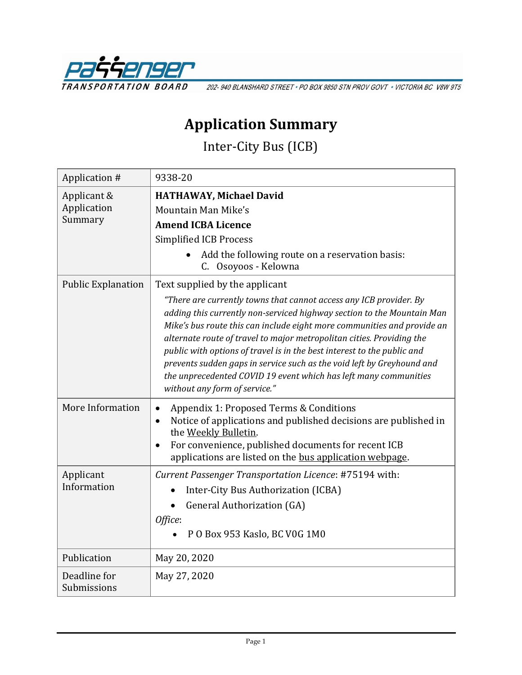

202-940 BLANSHARD STREET · PO BOX 9850 STN PROV GOVT · VICTORIA BC V8W 9T5

## **Application Summary**

Inter-City Bus (ICB)

| Application #               | 9338-20                                                                                                                                                                                                                                                                                                                                                                                                                                                                                                                                                    |
|-----------------------------|------------------------------------------------------------------------------------------------------------------------------------------------------------------------------------------------------------------------------------------------------------------------------------------------------------------------------------------------------------------------------------------------------------------------------------------------------------------------------------------------------------------------------------------------------------|
| Applicant &<br>Application  | <b>HATHAWAY, Michael David</b>                                                                                                                                                                                                                                                                                                                                                                                                                                                                                                                             |
|                             | Mountain Man Mike's                                                                                                                                                                                                                                                                                                                                                                                                                                                                                                                                        |
| Summary                     | <b>Amend ICBA Licence</b>                                                                                                                                                                                                                                                                                                                                                                                                                                                                                                                                  |
|                             | <b>Simplified ICB Process</b>                                                                                                                                                                                                                                                                                                                                                                                                                                                                                                                              |
|                             | Add the following route on a reservation basis:<br>C. Osoyoos - Kelowna                                                                                                                                                                                                                                                                                                                                                                                                                                                                                    |
| <b>Public Explanation</b>   | Text supplied by the applicant                                                                                                                                                                                                                                                                                                                                                                                                                                                                                                                             |
|                             | "There are currently towns that cannot access any ICB provider. By<br>adding this currently non-serviced highway section to the Mountain Man<br>Mike's bus route this can include eight more communities and provide an<br>alternate route of travel to major metropolitan cities. Providing the<br>public with options of travel is in the best interest to the public and<br>prevents sudden gaps in service such as the void left by Greyhound and<br>the unprecedented COVID 19 event which has left many communities<br>without any form of service." |
| More Information            | Appendix 1: Proposed Terms & Conditions<br>Notice of applications and published decisions are published in<br>$\bullet$<br>the Weekly Bulletin.<br>For convenience, published documents for recent ICB<br>$\bullet$<br>applications are listed on the bus application webpage.                                                                                                                                                                                                                                                                             |
| Applicant<br>Information    | Current Passenger Transportation Licence: #75194 with:                                                                                                                                                                                                                                                                                                                                                                                                                                                                                                     |
|                             | Inter-City Bus Authorization (ICBA)                                                                                                                                                                                                                                                                                                                                                                                                                                                                                                                        |
|                             | <b>General Authorization (GA)</b>                                                                                                                                                                                                                                                                                                                                                                                                                                                                                                                          |
|                             | Office:                                                                                                                                                                                                                                                                                                                                                                                                                                                                                                                                                    |
|                             | P O Box 953 Kaslo, BC V0G 1M0                                                                                                                                                                                                                                                                                                                                                                                                                                                                                                                              |
| Publication                 | May 20, 2020                                                                                                                                                                                                                                                                                                                                                                                                                                                                                                                                               |
| Deadline for<br>Submissions | May 27, 2020                                                                                                                                                                                                                                                                                                                                                                                                                                                                                                                                               |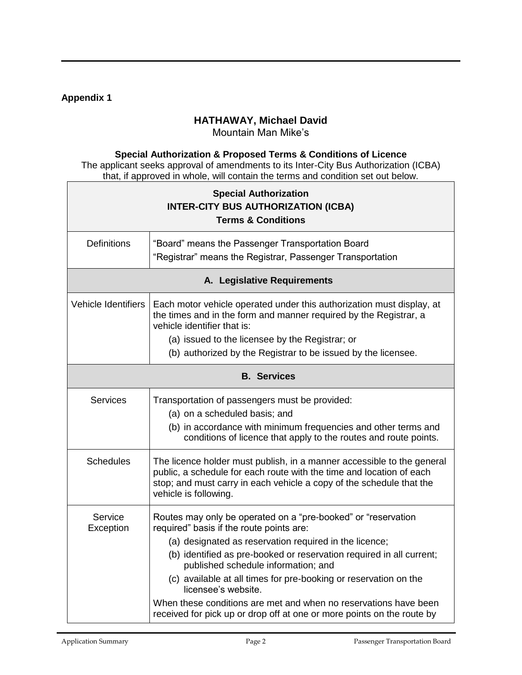## **Appendix 1**

## **HATHAWAY, Michael David**

Mountain Man Mike's

## **Special Authorization & Proposed Terms & Conditions of Licence**

The applicant seeks approval of amendments to its Inter-City Bus Authorization (ICBA) that, if approved in whole, will contain the terms and condition set out below.

| <b>Special Authorization</b><br><b>INTER-CITY BUS AUTHORIZATION (ICBA)</b><br><b>Terms &amp; Conditions</b> |                                                                                                                                                                                                                                                                                                                                                                                                                                                                                                                             |  |  |  |
|-------------------------------------------------------------------------------------------------------------|-----------------------------------------------------------------------------------------------------------------------------------------------------------------------------------------------------------------------------------------------------------------------------------------------------------------------------------------------------------------------------------------------------------------------------------------------------------------------------------------------------------------------------|--|--|--|
| <b>Definitions</b>                                                                                          | "Board" means the Passenger Transportation Board<br>"Registrar" means the Registrar, Passenger Transportation                                                                                                                                                                                                                                                                                                                                                                                                               |  |  |  |
| A. Legislative Requirements                                                                                 |                                                                                                                                                                                                                                                                                                                                                                                                                                                                                                                             |  |  |  |
| <b>Vehicle Identifiers</b>                                                                                  | Each motor vehicle operated under this authorization must display, at<br>the times and in the form and manner required by the Registrar, a<br>vehicle identifier that is:<br>(a) issued to the licensee by the Registrar; or<br>(b) authorized by the Registrar to be issued by the licensee.                                                                                                                                                                                                                               |  |  |  |
| <b>B.</b> Services                                                                                          |                                                                                                                                                                                                                                                                                                                                                                                                                                                                                                                             |  |  |  |
| <b>Services</b>                                                                                             | Transportation of passengers must be provided:<br>(a) on a scheduled basis; and<br>(b) in accordance with minimum frequencies and other terms and<br>conditions of licence that apply to the routes and route points.                                                                                                                                                                                                                                                                                                       |  |  |  |
| <b>Schedules</b>                                                                                            | The licence holder must publish, in a manner accessible to the general<br>public, a schedule for each route with the time and location of each<br>stop; and must carry in each vehicle a copy of the schedule that the<br>vehicle is following.                                                                                                                                                                                                                                                                             |  |  |  |
| Service<br>Exception                                                                                        | Routes may only be operated on a "pre-booked" or "reservation<br>required" basis if the route points are:<br>(a) designated as reservation required in the licence;<br>(b) identified as pre-booked or reservation required in all current;<br>published schedule information; and<br>(c) available at all times for pre-booking or reservation on the<br>licensee's website.<br>When these conditions are met and when no reservations have been<br>received for pick up or drop off at one or more points on the route by |  |  |  |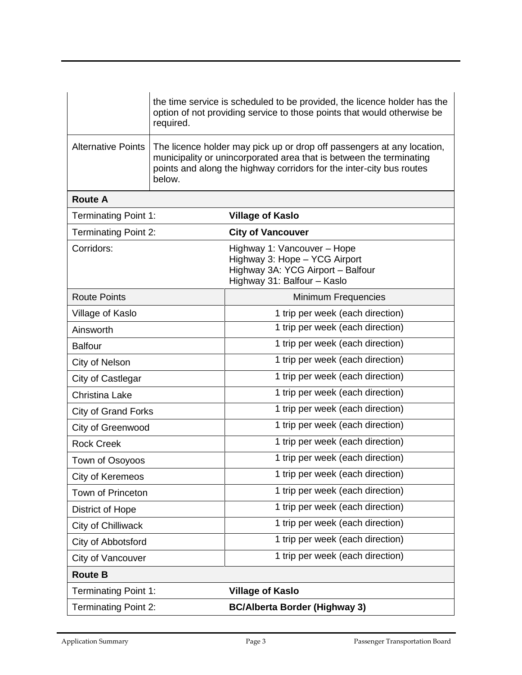|                             | the time service is scheduled to be provided, the licence holder has the<br>option of not providing service to those points that would otherwise be<br>required.                                                                |                                                                                                                                  |  |
|-----------------------------|---------------------------------------------------------------------------------------------------------------------------------------------------------------------------------------------------------------------------------|----------------------------------------------------------------------------------------------------------------------------------|--|
| <b>Alternative Points</b>   | The licence holder may pick up or drop off passengers at any location,<br>municipality or unincorporated area that is between the terminating<br>points and along the highway corridors for the inter-city bus routes<br>below. |                                                                                                                                  |  |
| <b>Route A</b>              |                                                                                                                                                                                                                                 |                                                                                                                                  |  |
| <b>Terminating Point 1:</b> |                                                                                                                                                                                                                                 | <b>Village of Kaslo</b>                                                                                                          |  |
| <b>Terminating Point 2:</b> |                                                                                                                                                                                                                                 | <b>City of Vancouver</b>                                                                                                         |  |
| Corridors:                  |                                                                                                                                                                                                                                 | Highway 1: Vancouver - Hope<br>Highway 3: Hope - YCG Airport<br>Highway 3A: YCG Airport - Balfour<br>Highway 31: Balfour - Kaslo |  |
| <b>Route Points</b>         |                                                                                                                                                                                                                                 | Minimum Frequencies                                                                                                              |  |
| Village of Kaslo            |                                                                                                                                                                                                                                 | 1 trip per week (each direction)                                                                                                 |  |
| Ainsworth                   |                                                                                                                                                                                                                                 | 1 trip per week (each direction)                                                                                                 |  |
| <b>Balfour</b>              |                                                                                                                                                                                                                                 | 1 trip per week (each direction)                                                                                                 |  |
| City of Nelson              |                                                                                                                                                                                                                                 | 1 trip per week (each direction)                                                                                                 |  |
| City of Castlegar           |                                                                                                                                                                                                                                 | 1 trip per week (each direction)                                                                                                 |  |
| <b>Christina Lake</b>       |                                                                                                                                                                                                                                 | 1 trip per week (each direction)                                                                                                 |  |
| <b>City of Grand Forks</b>  |                                                                                                                                                                                                                                 | 1 trip per week (each direction)                                                                                                 |  |
| City of Greenwood           |                                                                                                                                                                                                                                 | 1 trip per week (each direction)                                                                                                 |  |
| <b>Rock Creek</b>           |                                                                                                                                                                                                                                 | 1 trip per week (each direction)                                                                                                 |  |
| Town of Osoyoos             |                                                                                                                                                                                                                                 | 1 trip per week (each direction)                                                                                                 |  |
| City of Keremeos            |                                                                                                                                                                                                                                 | 1 trip per week (each direction)                                                                                                 |  |
| Town of Princeton           |                                                                                                                                                                                                                                 | 1 trip per week (each direction)                                                                                                 |  |
| District of Hope            |                                                                                                                                                                                                                                 | 1 trip per week (each direction)                                                                                                 |  |
| City of Chilliwack          |                                                                                                                                                                                                                                 | 1 trip per week (each direction)                                                                                                 |  |
| City of Abbotsford          |                                                                                                                                                                                                                                 | 1 trip per week (each direction)                                                                                                 |  |
| City of Vancouver           |                                                                                                                                                                                                                                 | 1 trip per week (each direction)                                                                                                 |  |
| <b>Route B</b>              |                                                                                                                                                                                                                                 |                                                                                                                                  |  |
| <b>Terminating Point 1:</b> |                                                                                                                                                                                                                                 | <b>Village of Kaslo</b>                                                                                                          |  |
| <b>Terminating Point 2:</b> |                                                                                                                                                                                                                                 | <b>BC/Alberta Border (Highway 3)</b>                                                                                             |  |